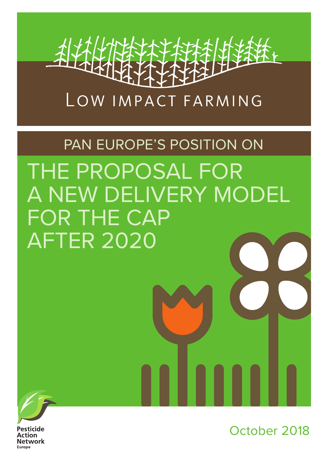

# PAN EUROPE'S POSITION ON THE PROPOSAL FOR A NEW DELIVERY MODEL FOR THE CAP AFTER 2020



Pesticide **Action Network** Europe

October 2018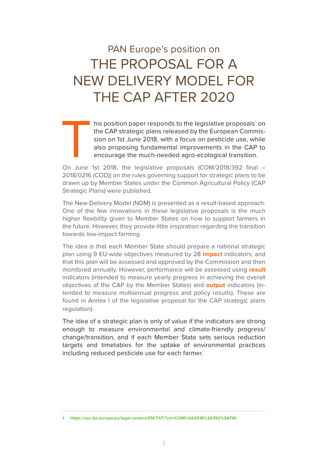# PAN Europe's position on THE PROPOSAL FOR A NEW DELIVERY MODEL FOR THE CAP AFTER 2020

This position paper responds to the legislative proposals<sup>1</sup> on<br>the CAP strategic plans released by the European Commis-<br>sion on 1st June 2018, with a focus on pesticide use, while<br>also proposing fundamental improvements i his position paper responds to the legislative proposals<sup>1</sup> on the CAP strategic plans released by the European Commission on 1st June 2018, with a focus on pesticide use, while also proposing fundamental improvements in the CAP to encourage the much-needed agro-ecological transition.

2018/0216 (COD)) on the rules governing support for strategic plans to be drawn up by Member States under the Common Agricultural Policy (CAP Strategic Plans) were published.

The New Delivery Model (NDM) is presented as a result-based approach. One of the few innovations in these legislative proposals is the much higher flexibility given to Member States on how to support farmers in the future. However, they provide little inspiration regarding the transition towards low-impact farming.

The idea is that each Member State should prepare a national strategic plan using 9 EU-wide objectives measured by 28 **impact** indicators, and that this plan will be assessed and approved by the Commission and then monitored annually. However, performance will be assessed using **result** indicators (intended to measure yearly progress in achieving the overall objectives of the CAP by the Member States) and **output** indicators (intended to measure multiannual progress and policy results). These are found in Annex I of the legislative proposal for the CAP strategic plans regulation).

The idea of a strategic plan is only of value if the indicators are strong enough to measure environmental and climate-friendly progress/ change/transition, and if each Member State sets serious reduction targets and timetables for the uptake of environmental practices including reduced pesticide use for each farmer.

**<sup>1</sup> https://eur-lex.europa.eu/legal-content/EN/TXT/?uri=COM%3A2018%3A392%3AFIN**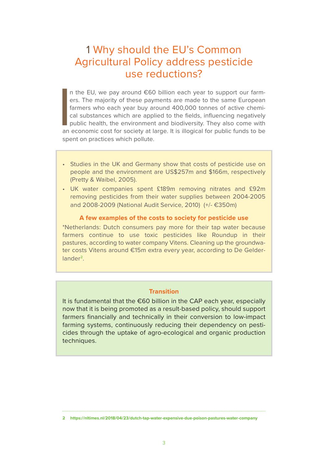# 1 Why should the EU's Common Agricultural Policy address pesticide use reductions?

I n the EU, we pay around €60 billion each year to support our farmers. The majority of these payments are made to the same European farmers who each year buy around 400,000 tonnes of active chemical substances which are applied to the fields, influencing negatively public health, the environment and biodiversity. They also come with an economic cost for society at large. It is illogical for public funds to be spent on practices which pollute.

- Studies in the UK and Germany show that costs of pesticide use on people and the environment are US\$257m and \$166m, respectively (Pretty & Waibel, 2005).
- UK water companies spent £189m removing nitrates and £92m removing pesticides from their water supplies between 2004-2005 and 2008-2009 (National Audit Service, 2010) (+/- €350m)

#### **A few examples of the costs to society for pesticide use**

\*Netherlands: Dutch consumers pay more for their tap water because farmers continue to use toxic pesticides like Roundup in their pastures, according to water company Vitens. Cleaning up the groundwater costs Vitens around €15m extra every year, according to De Gelderlander**<sup>2</sup>**.

#### **Transition**

It is fundamental that the €60 billion in the CAP each year, especially now that it is being promoted as a result-based policy, should support farmers financially and technically in their conversion to low-impact farming systems, continuously reducing their dependency on pesticides through the uptake of agro-ecological and organic production techniques.

**<sup>2</sup> https://nltimes.nl/2018/04/23/dutch-tap-water-expensive-due-poison-pastures-water-company**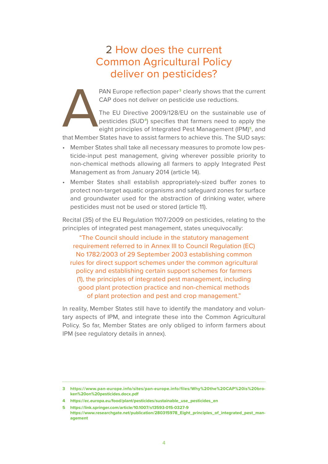# 2 How does the current Common Agricultural Policy deliver on pesticides?

CAP does not deliver on pesticide use reductions.

PAN Europe reflection paper<sup>3</sup> clearly shows that the current<br>CAP does not deliver on pesticide use reductions.<br>The EU Directive 2009/128/EU on the sustainable use of<br>pesticides (SUD<sup>4</sup>) specifies that farmers need to appl The EU Directive 2009/128/EU on the sustainable use of pesticides (SUD**4**) specifies that farmers need to apply the eight principles of Integrated Pest Management (IPM)**5**, and

that Member States have to assist farmers to achieve this. The SUD says:

- Member States shall take all necessary measures to promote low pesticide-input pest management, giving wherever possible priority to non-chemical methods allowing all farmers to apply Integrated Pest Management as from January 2014 (article 14).
- Member States shall establish appropriately-sized buffer zones to protect non-target aquatic organisms and safeguard zones for surface and groundwater used for the abstraction of drinking water, where pesticides must not be used or stored (article 11).

Recital (35) of the EU Regulation 1107/2009 on pesticides, relating to the principles of integrated pest management, states unequivocally:

"The Council should include in the statutory management requirement referred to in Annex III to Council Regulation (EC) No 1782/2003 of 29 September 2003 establishing common rules for direct support schemes under the common agricultural policy and establishing certain support schemes for farmers (1), the principles of integrated pest management, including good plant protection practice and non-chemical methods of plant protection and pest and crop management."

In reality, Member States still have to identify the mandatory and voluntary aspects of IPM, and integrate these into the Common Agricultural Policy. So far, Member States are only obliged to inform farmers about IPM (see regulatory details in annex).

**<sup>3</sup> https://www.pan-europe.info/sites/pan-europe.info/files/Why%20the%20CAP%20is%20broken%20on%20pesticides.docx.pdf**

**<sup>4</sup> https://ec.europa.eu/food/plant/pesticides/sustainable\_use\_pesticides\_en**

**<sup>5</sup> https://link.springer.com/article/10.1007/s13593-015-0327-9 https://www.researchgate.net/publication/280315978\_Eight\_principles\_of\_integrated\_pest\_management**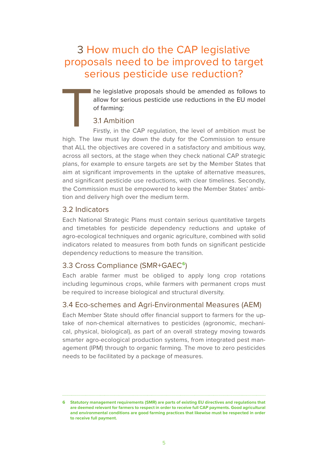# 3 How much do the CAP legislative proposals need to be improved to target serious pesticide use reduction?

he legislative proposals should be amended as follows to allow for serious pesticide use reductions in the EU model of farming:

# 3.1 Ambition

T Firstly, in the CAP regulation, the level of ambition must be high. The law must lay down the duty for the Commission to ensure that ALL the objectives are covered in a satisfactory and ambitious way, across all sectors, at the stage when they check national CAP strategic plans, for example to ensure targets are set by the Member States that aim at significant improvements in the uptake of alternative measures, and significant pesticide use reductions, with clear timelines. Secondly, the Commission must be empowered to keep the Member States' ambition and delivery high over the medium term.

# 3.2 Indicators

Each National Strategic Plans must contain serious quantitative targets and timetables for pesticide dependency reductions and uptake of agro-ecological techniques and organic agriculture, combined with solid indicators related to measures from both funds on significant pesticide dependency reductions to measure the transition.

# 3.3 Cross Compliance (SMR+GAEC**6**)

Each arable farmer must be obliged to apply long crop rotations including leguminous crops, while farmers with permanent crops must be required to increase biological and structural diversity.

# 3.4 Eco-schemes and Agri-Environmental Measures (AEM)

Each Member State should offer financial support to farmers for the uptake of non-chemical alternatives to pesticides (agronomic, mechanical, physical, biological), as part of an overall strategy moving towards smarter agro-ecological production systems, from integrated pest management (IPM) through to organic farming. The move to zero pesticides needs to be facilitated by a package of measures.

**<sup>6</sup> Statutory management requirements (SMR) are parts of existing EU directives and regulations that are deemed relevant for farmers to respect in order to receive full CAP payments. Good agricultural and environmental conditions are good farming practices that likewise must be respected in order to receive full payment.**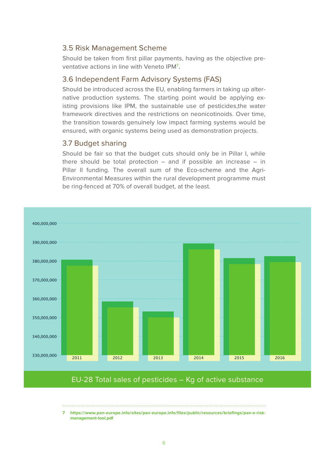## 3.5 Risk Management Scheme

Should be taken from first pillar payments, having as the objective preventative actions in line with Veneto IPM**<sup>7</sup>** .

## 3.6 Independent Farm Advisory Systems (FAS)

Should be introduced across the EU, enabling farmers in taking up alternative production systems. The starting point would be applying existing provisions like IPM, the sustainable use of pesticides,the water framework directives and the restrictions on neonicotinoids. Over time, the transition towards genuinely low impact farming systems would be ensured, with organic systems being used as demonstration projects.

## 3.7 Budget sharing

Should be fair so that the budget cuts should only be in Pillar I, while there should be total protection  $-$  and if possible an increase  $-$  in Pillar II funding. The overall sum of the Eco-scheme and the Agri-Environmental Measures within the rural development programme must be ring-fenced at 70% of overall budget, at the least.



**7 https://www.pan-europe.info/sites/pan-europe.info/files/public/resources/briefings/pan-e-riskmanagement-tool.pdf**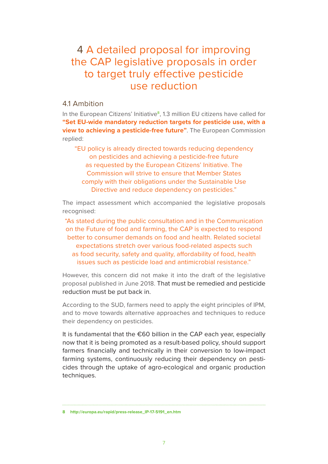# 4 A detailed proposal for improving the CAP legislative proposals in order to target truly effective pesticide use reduction

#### 4.1 Ambition

In the European Citizens' Initiative**8**, 1.3 million EU citizens have called for **"Set EU-wide mandatory reduction targets for pesticide use, with a view to achieving a pesticide-free future"**. The European Commission replied:

"EU policy is already directed towards reducing dependency on pesticides and achieving a pesticide-free future as requested by the European Citizens' Initiative. The Commission will strive to ensure that Member States comply with their obligations under the Sustainable Use Directive and reduce dependency on pesticides."

The impact assessment which accompanied the legislative proposals recognised:

"As stated during the public consultation and in the Communication on the Future of food and farming, the CAP is expected to respond better to consumer demands on food and health. Related societal expectations stretch over various food-related aspects such as food security, safety and quality, affordability of food, health issues such as pesticide load and antimicrobial resistance."

However, this concern did not make it into the draft of the legislative proposal published in June 2018. That must be remedied and pesticide reduction must be put back in.

According to the SUD, farmers need to apply the eight principles of IPM, and to move towards alternative approaches and techniques to reduce their dependency on pesticides.

It is fundamental that the €60 billion in the CAP each year, especially now that it is being promoted as a result-based policy, should support farmers financially and technically in their conversion to low-impact farming systems, continuously reducing their dependency on pesticides through the uptake of agro-ecological and organic production techniques.

**8 http://europa.eu/rapid/press-release\_IP-17-5191\_en.htm**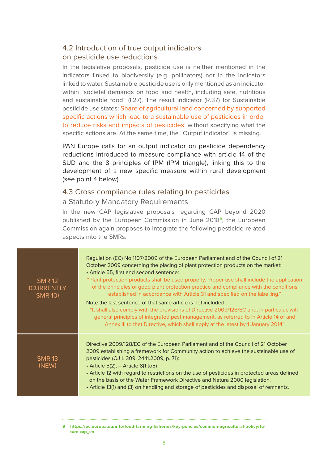# 4.2 Introduction of true output indicators on pesticide use reductions

In the legislative proposals, pesticide use is neither mentioned in the indicators linked to biodiversity (e.g. pollinators) nor in the indicators linked to water. Sustainable pesticide use is only mentioned as an indicator within "societal demands on food and health, including safe, nutritious and sustainable food" (I.27). The result indicator (R.37) for Sustainable pesticide use states: Share of agricultural land concerned by supported specific actions which lead to a sustainable use of pesticides in order to reduce risks and impacts of pesticides' without specifying what the specific actions are. At the same time, the "Output indicator" is missing.

PAN Europe calls for an output indicator on pesticide dependency reductions introduced to measure compliance with article 14 of the SUD and the 8 principles of IPM (IPM triangle), linking this to the development of a new specific measure within rural development (see point 4 below).

# 4.3 Cross compliance rules relating to pesticides

#### a Statutory Mandatory Requirements

In the new CAP legislative proposals regarding CAP beyond 2020 published by the European Commission in June 2018**9**, the European Commission again proposes to integrate the following pesticide-related aspects into the SMRs.

| <b>SMR 12</b><br>(CURRENTLY<br><b>SMR 10)</b> | Regulation (EC) No 1107/2009 of the European Parliament and of the Council of 21<br>October 2009 concerning the placing of plant protection products on the market:<br>• Article 55, first and second sentence:<br>"Plant protection products shall be used properly. Proper use shall include the application<br>of the principles of good plant protection practice and compliance with the conditions<br>established in accordance with Article 31 and specified on the labelling."<br>Note the last sentence of that same article is not included:<br>"It shall also comply with the provisions of Directive 2009/128/EC and, in particular, with<br>general principles of integrated pest management, as referred to in Article 14 of and<br>Annex III to that Directive, which shall apply at the latest by 1 January 2014" |  |
|-----------------------------------------------|-----------------------------------------------------------------------------------------------------------------------------------------------------------------------------------------------------------------------------------------------------------------------------------------------------------------------------------------------------------------------------------------------------------------------------------------------------------------------------------------------------------------------------------------------------------------------------------------------------------------------------------------------------------------------------------------------------------------------------------------------------------------------------------------------------------------------------------|--|
| <b>SMR 13</b><br>(NEW)                        | Directive 2009/128/EC of the European Parliament and of the Council of 21 October<br>2009 establishing a framework for Community action to achieve the sustainable use of<br>pesticides (OJ L 309, 24.11.2009, p. 71):<br>$\cdot$ Article 5(2), $-$ Article 8(1 to 5)<br>• Article 12 with regard to restrictions on the use of pesticides in protected areas defined<br>on the basis of the Water Framework Directive and Natura 2000 legislation.<br>• Article 13(1) and (3) on handling and storage of pesticides and disposal of remnants.                                                                                                                                                                                                                                                                                    |  |

**<sup>9</sup> https://ec.europa.eu/info/food-farming-fisheries/key-policies/common-agricultural-policy/future-cap\_en**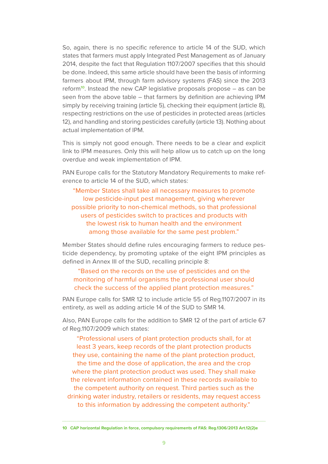So, again, there is no specific reference to article 14 of the SUD, which states that farmers must apply Integrated Pest Management as of January 2014, despite the fact that Regulation 1107/2007 specifies that this should be done. Indeed, this same article should have been the basis of informing farmers about IPM, through farm advisory systems (FAS) since the 2013 reform**10**. Instead the new CAP legislative proposals propose – as can be seen from the above table – that farmers by definition are achieving IPM simply by receiving training (article 5), checking their equipment (article 8), respecting restrictions on the use of pesticides in protected areas (articles 12), and handling and storing pesticides carefully (article 13). Nothing about actual implementation of IPM.

This is simply not good enough. There needs to be a clear and explicit link to IPM measures. Only this will help allow us to catch up on the long overdue and weak implementation of IPM.

PAN Europe calls for the Statutory Mandatory Requirements to make reference to article 14 of the SUD, which states:

"Member States shall take all necessary measures to promote low pesticide-input pest management, giving wherever possible priority to non-chemical methods, so that professional users of pesticides switch to practices and products with the lowest risk to human health and the environment among those available for the same pest problem."

Member States should define rules encouraging farmers to reduce pesticide dependency, by promoting uptake of the eight IPM principles as defined in Annex III of the SUD, recalling principle 8:

#### "Based on the records on the use of pesticides and on the monitoring of harmful organisms the professional user should check the success of the applied plant protection measures."

PAN Europe calls for SMR 12 to include article 55 of Reg.1107/2007 in its entirety, as well as adding article 14 of the SUD to SMR 14.

Also, PAN Europe calls for the addition to SMR 12 of the part of article 67 of Reg.1107/2009 which states:

"Professional users of plant protection products shall, for at least 3 years, keep records of the plant protection products they use, containing the name of the plant protection product, the time and the dose of application, the area and the crop where the plant protection product was used. They shall make the relevant information contained in these records available to the competent authority on request. Third parties such as the drinking water industry, retailers or residents, may request access to this information by addressing the competent authority."

9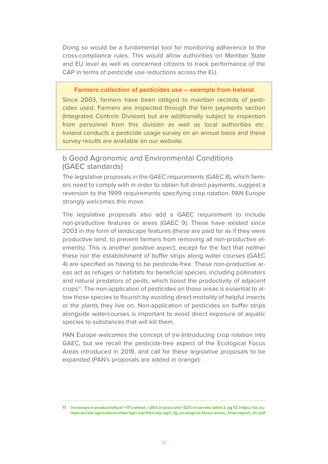Doing so would be a fundamental tool for monitoring adherence to the cross-compliance rules. This would allow authorities on Member State and EU level as well as concerned citizens to track performance of the CAP in terms of pesticide use reductions across the EU.

#### **Farmers collection of pesticides use – example from Ireland**

Since 2003, farmers have been obliged to maintain records of pesticides used. Farmers are inspected through the farm payments section (Integrated Controls Division) but are additionally subject to inspection from personnel from this division as well as local authorities etc. Ireland conducts a pesticide usage survey on an annual basis and these survey results are available on our website.

#### b Good Agronomic and Environmental Conditions (GAEC standards)

The legislative proposals in the GAEC requirements (GAEC 8), which farmers need to comply with in order to obtain full direct payments, suggest a reversion to the 1999 requirements specifying crop rotation. PAN Europe strongly welcomes this move.

The legislative proposals also add a GAEC requirement to include non-productive features or areas (GAEC 9). These have existed since 2003 in the form of landscape features (these are paid for as if they were productive land, to prevent farmers from removing all non-productive elements). This is another positive aspect, except for the fact that neither these nor the establishment of buffer strips along water courses (GAEC 4) are specified as having to be pesticide-free. These non-productive areas act as refuges or habitats for beneficial species, including pollinators and natural predators of pests, which boost the productivity of adjacent crops**11**. The non-application of pesticides on those areas is essential to allow those species to flourish by avoiding direct mortality of helpful insects or the plants they live on. Non-application of pesticides on buffer strips alongside watercourses is important to avoid direct exposure of aquatic species to substances that will kill them.

PAN Europe welcomes the concept of (re-)introducing crop rotation into GAEC, but we recall the pesticide-free aspect of the Ecological Focus Areas introduced in 2018, and call for these legislative proposals to be expanded (PAN's proposals are added in orange):

**11 Increases in productivity of +11% wheat, +26% in peas and +32% in carrots: table 2, pg 13. https://ec.europa.eu/eip/agriculture/sites/agri-eip/files/eip-agri\_fg\_ecological-focus-areas\_final-report\_en.pdf**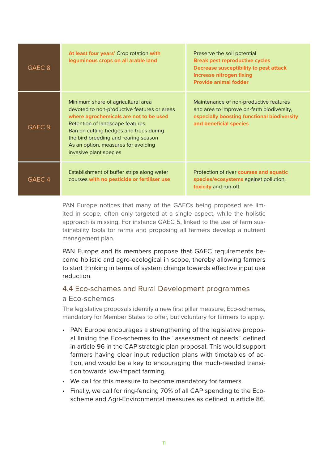| GAEC <sub>8</sub> | At least four years' Crop rotation with<br>leguminous crops on all arable land                                                                                                                                                                                                                                    | Preserve the soil potential<br><b>Break pest reproductive cycles</b><br><b>Decrease susceptibility to pest attack</b><br><b>Increase nitrogen fixing</b><br><b>Provide animal fodder</b> |
|-------------------|-------------------------------------------------------------------------------------------------------------------------------------------------------------------------------------------------------------------------------------------------------------------------------------------------------------------|------------------------------------------------------------------------------------------------------------------------------------------------------------------------------------------|
| GAEC <sub>9</sub> | Minimum share of agricultural area<br>devoted to non-productive features or areas<br>where agrochemicals are not to be used<br>Retention of landscape features<br>Ban on cutting hedges and trees during<br>the bird breeding and rearing season<br>As an option, measures for avoiding<br>invasive plant species | Maintenance of non-productive features<br>and area to improve on-farm biodiversity,<br>especially boosting functional biodiversity<br>and beneficial species                             |
| GAEC <sub>4</sub> | Establishment of buffer strips along water<br>courses with no pesticide or fertiliser use                                                                                                                                                                                                                         | Protection of river courses and aquatic<br>species/ecosystems against pollution,<br>toxicity and run-off                                                                                 |

PAN Europe notices that many of the GAECs being proposed are limited in scope, often only targeted at a single aspect, while the holistic approach is missing. For instance GAEC 5, linked to the use of farm sustainability tools for farms and proposing all farmers develop a nutrient management plan.

PAN Europe and its members propose that GAEC requirements become holistic and agro-ecological in scope, thereby allowing farmers to start thinking in terms of system change towards effective input use reduction.

## 4.4 Eco-schemes and Rural Development programmes

#### a Eco-schemes

The legislative proposals identify a new first pillar measure, Eco-schemes, mandatory for Member States to offer, but voluntary for farmers to apply.

- PAN Europe encourages a strengthening of the legislative proposal linking the Eco-schemes to the "assessment of needs" defined in article 96 in the CAP strategic plan proposal. This would support farmers having clear input reduction plans with timetables of action, and would be a key to encouraging the much-needed transition towards low-impact farming.
- We call for this measure to become mandatory for farmers.
- Finally, we call for ring-fencing 70% of all CAP spending to the Ecoscheme and Agri-Environmental measures as defined in article 86.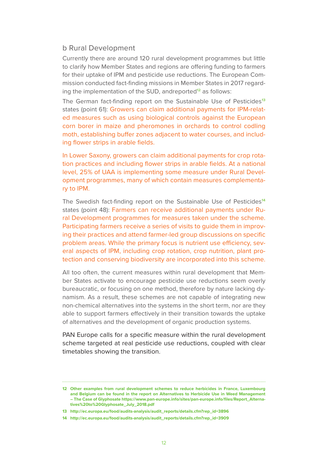#### b Rural Development

Currently there are around 120 rural development programmes but little to clarify how Member States and regions are offering funding to farmers for their uptake of IPM and pesticide use reductions. The European Commission conducted fact-finding missions in Member States in 2017 regarding the implementation of the SUD, andreported**12** as follows:

The German fact-finding report on the Sustainable Use of Pesticides**<sup>13</sup>** states (point 61): Growers can claim additional payments for IPM-related measures such as using biological controls against the European corn borer in maize and pheromones in orchards to control codling moth, establishing buffer zones adjacent to water courses, and including flower strips in arable fields.

In Lower Saxony, growers can claim additional payments for crop rotation practices and including flower strips in arable fields. At a national level, 25% of UAA is implementing some measure under Rural Development programmes, many of which contain measures complementary to IPM.

The Swedish fact-finding report on the Sustainable Use of Pesticides**<sup>14</sup>** states (point 48): Farmers can receive additional payments under Rural Development programmes for measures taken under the scheme. Participating farmers receive a series of visits to guide them in improving their practices and attend farmer-led group discussions on specific problem areas. While the primary focus is nutrient use efficiency, several aspects of IPM, including crop rotation, crop nutrition, plant protection and conserving biodiversity are incorporated into this scheme.

All too often, the current measures within rural development that Member States activate to encourage pesticide use reductions seem overly bureaucratic, or focusing on one method, therefore by nature lacking dynamism. As a result, these schemes are not capable of integrating new non-chemical alternatives into the systems in the short term, nor are they able to support farmers effectively in their transition towards the uptake of alternatives and the development of organic production systems.

PAN Europe calls for a specific measure within the rural development scheme targeted at real pesticide use reductions, coupled with clear timetables showing the transition.

**<sup>12</sup> Other examples from rural development schemes to reduce herbicides in France, Luxembourg and Belgium can be found in the report on Alternatives to Herbicide Use in Weed Management – The Case of Glyphosate https://www.pan-europe.info/sites/pan-europe.info/files/Report\_Alternatives%20to%20Glyphosate\_July\_2018.pdf**

**<sup>13</sup> http://ec.europa.eu/food/audits-analysis/audit\_reports/details.cfm?rep\_id=3896**

**<sup>14</sup> http://ec.europa.eu/food/audits-analysis/audit\_reports/details.cfm?rep\_id=3909**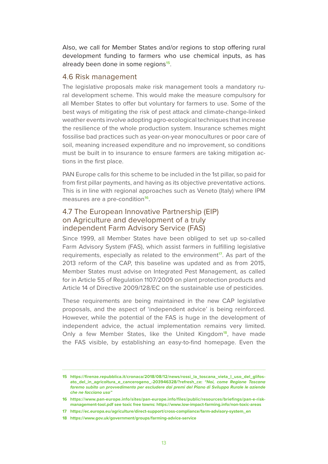Also, we call for Member States and/or regions to stop offering rural development funding to farmers who use chemical inputs, as has already been done in some regions**15**.

#### 4.6 Risk management

The legislative proposals make risk management tools a mandatory rural development scheme. This would make the measure compulsory for all Member States to offer but voluntary for farmers to use. Some of the best ways of mitigating the risk of pest attack and climate-change-linked weather events involve adopting agro-ecological techniques that increase the resilience of the whole production system. Insurance schemes might fossilise bad practices such as year-on-year monocultures or poor care of soil, meaning increased expenditure and no improvement, so conditions must be built in to insurance to ensure farmers are taking mitigation actions in the first place.

PAN Europe calls for this scheme to be included in the 1st pillar, so paid for from first pillar payments, and having as its objective preventative actions. This is in line with regional approaches such as Veneto (Italy) where IPM measures are a pre-condition**<sup>16</sup>**.

## 4.7 The European Innovative Partnership (EIP) on Agriculture and development of a truly independent Farm Advisory Service (FAS)

Since 1999, all Member States have been obliged to set up so-called Farm Advisory System (FAS), which assist farmers in fulfilling legislative requirements, especially as related to the environment**17**. As part of the 2013 reform of the CAP, this baseline was updated and as from 2015, Member States must advise on Integrated Pest Management, as called for in Article 55 of Regulation 1107/2009 on plant protection products and Article 14 of Directive 2009/128/EC on the sustainable use of pesticides.

These requirements are being maintained in the new CAP legislative proposals, and the aspect of 'independent advice' is being reinforced. However, while the potential of the FAS is huge in the development of independent advice, the actual implementation remains very limited. Only a few Member States, like the United Kingdom**18**, have made the FAS visible, by establishing an easy-to-find homepage. Even the

**<sup>15</sup> https://firenze.repubblica.it/cronaca/2018/08/12/news/rossi\_la\_toscana\_vieta\_l\_uso\_del\_glifosato\_del\_in\_agricoltura\_e\_cancerogeno\_-203946328/?refresh\_ce:** *"Noi, come Regione Toscana faremo subito un provvedimento per escludere dai premi del Piano di Sviluppo Rurale le aziende che ne facciano uso"*

**<sup>16</sup> https://www.pan-europe.info/sites/pan-europe.info/files/public/resources/briefings/pan-e-riskmanagement-tool.pdf see toxic free towns: https://www.low-impact-farming.info/non-toxic-areas**

**<sup>17</sup> https://ec.europa.eu/agriculture/direct-support/cross-compliance/farm-advisory-system\_en**

**<sup>18</sup> https://www.gov.uk/government/groups/farming-advice-service**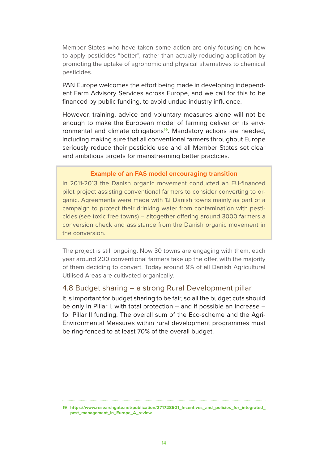Member States who have taken some action are only focusing on how to apply pesticides "better", rather than actually reducing application by promoting the uptake of agronomic and physical alternatives to chemical pesticides.

PAN Europe welcomes the effort being made in developing independent Farm Advisory Services across Europe, and we call for this to be financed by public funding, to avoid undue industry influence.

However, training, advice and voluntary measures alone will not be enough to make the European model of farming deliver on its environmental and climate obligations**19**. Mandatory actions are needed, including making sure that all conventional farmers throughout Europe seriously reduce their pesticide use and all Member States set clear and ambitious targets for mainstreaming better practices.

#### **Example of an FAS model encouraging transition**

In 2011-2013 the Danish organic movement conducted an EU-financed pilot project assisting conventional farmers to consider converting to organic. Agreements were made with 12 Danish towns mainly as part of a campaign to protect their drinking water from contamination with pesticides (see toxic free towns) – altogether offering around 3000 farmers a conversion check and assistance from the Danish organic movement in the conversion.

The project is still ongoing. Now 30 towns are engaging with them, each year around 200 conventional farmers take up the offer, with the majority of them deciding to convert. Today around 9% of all Danish Agricultural Utilised Areas are cultivated organically.

#### 4.8 Budget sharing – a strong Rural Development pillar

It is important for budget sharing to be fair, so all the budget cuts should be only in Pillar I, with total protection – and if possible an increase – for Pillar II funding. The overall sum of the Eco-scheme and the Agri-Environmental Measures within rural development programmes must be ring-fenced to at least 70% of the overall budget.

**19 https://www.researchgate.net/publication/271728601\_Incentives\_and\_policies\_for\_integrated\_ pest\_management\_in\_Europe\_A\_review**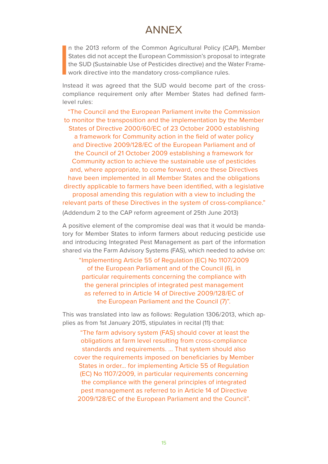# ANNEX

**I** n the 2013 reform of the Common Agricultural Policy (CAP), Member States did not accept the European Commission's proposal to integrate the SUD (Sustainable Use of Pesticides directive) and the Water Framework directive into the mandatory cross-compliance rules.

Instead it was agreed that the SUD would become part of the crosscompliance requirement only after Member States had defined farmlevel rules:

"The Council and the European Parliament invite the Commission to monitor the transposition and the implementation by the Member States of Directive 2000/60/EC of 23 October 2000 establishing a framework for Community action in the field of water policy and Directive 2009/128/EC of the European Parliament and of the Council of 21 October 2009 establishing a framework for Community action to achieve the sustainable use of pesticides and, where appropriate, to come forward, once these Directives have been implemented in all Member States and the obligations directly applicable to farmers have been identified, with a legislative proposal amending this regulation with a view to including the relevant parts of these Directives in the system of cross-compliance." (Addendum 2 to the CAP reform agreement of 25th June 2013)

A positive element of the compromise deal was that it would be mandatory for Member States to inform farmers about reducing pesticide use and introducing Integrated Pest Management as part of the information shared via the Farm Advisory Systems (FAS), which needed to advise on:

"Implementing Article 55 of Regulation (EC) No 1107/2009 of the European Parliament and of the Council (6), in particular requirements concerning the compliance with the general principles of integrated pest management as referred to in Article 14 of Directive 2009/128/EC of the European Parliament and the Council (7)".

This was translated into law as follows: Regulation 1306/2013, which applies as from 1st January 2015, stipulates in recital (11) that:

 "The farm advisory system (FAS) should cover at least the obligations at farm level resulting from cross-compliance standards and requirements. … That system should also cover the requirements imposed on beneficiaries by Member States in order… for implementing Article 55 of Regulation (EC) No 1107/2009, in particular requirements concerning the compliance with the general principles of integrated pest management as referred to in Article 14 of Directive 2009/128/EC of the European Parliament and the Council".